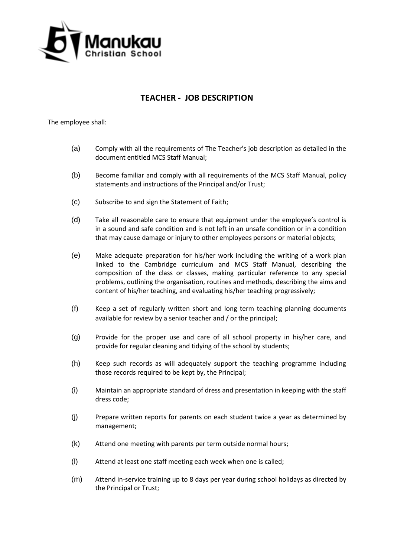

## **TEACHER - JOB DESCRIPTION**

The employee shall:

- (a) Comply with all the requirements of The Teacher's job description as detailed in the document entitled MCS Staff Manual;
- (b) Become familiar and comply with all requirements of the MCS Staff Manual, policy statements and instructions of the Principal and/or Trust;
- (c) Subscribe to and sign the Statement of Faith;
- (d) Take all reasonable care to ensure that equipment under the employee's control is in a sound and safe condition and is not left in an unsafe condition or in a condition that may cause damage or injury to other employees persons or material objects;
- (e) Make adequate preparation for his/her work including the writing of a work plan linked to the Cambridge curriculum and MCS Staff Manual, describing the composition of the class or classes, making particular reference to any special problems, outlining the organisation, routines and methods, describing the aims and content of his/her teaching, and evaluating his/her teaching progressively;
- (f) Keep a set of regularly written short and long term teaching planning documents available for review by a senior teacher and / or the principal;
- (g) Provide for the proper use and care of all school property in his/her care, and provide for regular cleaning and tidying of the school by students;
- (h) Keep such records as will adequately support the teaching programme including those records required to be kept by, the Principal;
- (i) Maintain an appropriate standard of dress and presentation in keeping with the staff dress code;
- (j) Prepare written reports for parents on each student twice a year as determined by management;
- (k) Attend one meeting with parents per term outside normal hours;
- (l) Attend at least one staff meeting each week when one is called;
- (m) Attend in-service training up to 8 days per year during school holidays as directed by the Principal or Trust;